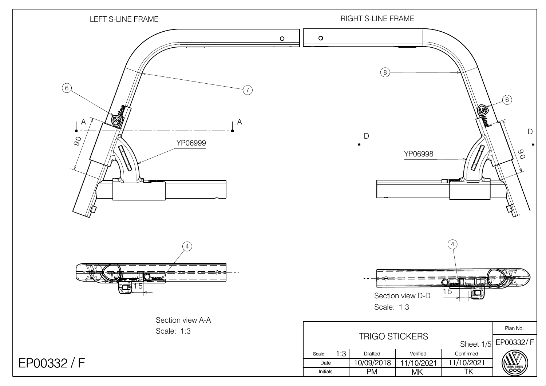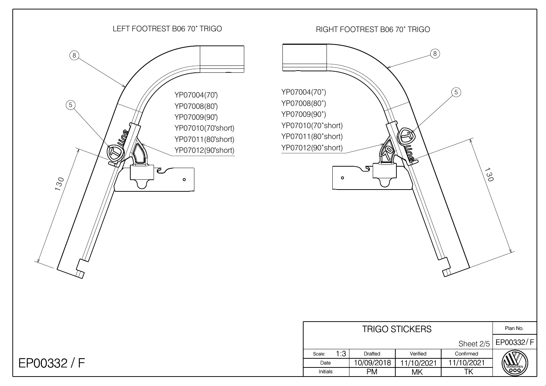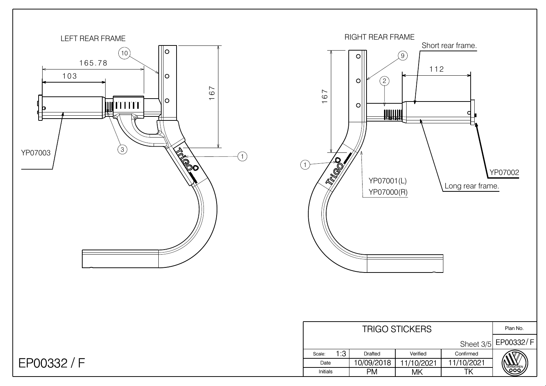

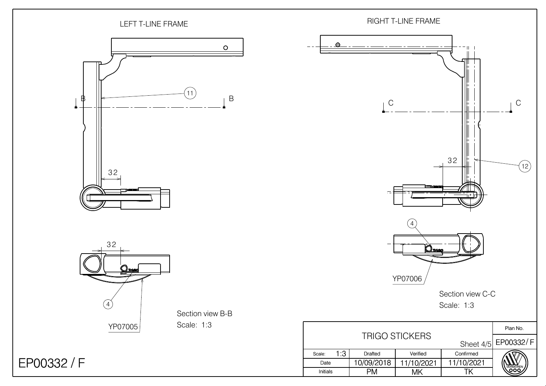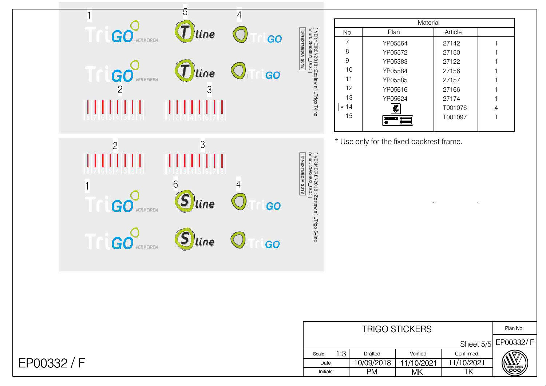| 1<br>GO<br>RMEIREN                    | 5<br>$\bm{T}$<br>line                                   | 4<br>GO              | nr art. 2993801_UCC ]<br>ONEXTMEDIA 2018                            |
|---------------------------------------|---------------------------------------------------------|----------------------|---------------------------------------------------------------------|
| <b>GO</b> VERMEIREN<br>$\overline{c}$ | $\overline{\bm{\mathcal{I}}}$<br>line<br>$\overline{3}$ | GO                   | [ VERMEIREN2018::Zestaw n1 ,Trigo T-line                            |
| ПĦ                                    |                                                         |                      |                                                                     |
| $\overline{c}$<br>H                   | 3                                                       |                      | @NEXTMEDIA 2018                                                     |
| $\mathbf{1}$<br>G<br>VERMEIREN        | $\overline{6}$<br>line                                  | $\overline{4}$<br>GO | [ VERMEIREN2018 :: Zestaw n1 "Trigo S-line<br>nr art. 2993802_UCC ] |
| GO<br>MEIREN                          | line                                                    | GO                   |                                                                     |
|                                       |                                                         |                      |                                                                     |

|       | Material     |         |   |  |  |  |
|-------|--------------|---------|---|--|--|--|
| No.   | Plan         | Article |   |  |  |  |
| 7     | YP05564      | 27142   |   |  |  |  |
| 8     | YP05572      | 27150   |   |  |  |  |
| 9     | YP05383      | 27122   |   |  |  |  |
| 10    | YP05584      | 27156   |   |  |  |  |
| 11    | YP05585      | 27157   |   |  |  |  |
| 12    | YP05616      | 27166   |   |  |  |  |
| 13    | YP05624      | 27174   |   |  |  |  |
| $*14$ |              | T001076 | 4 |  |  |  |
| 15    | garen pasir. | T001097 |   |  |  |  |

\* Use only for the fixed backrest frame.

|          |        | Plan No. |            |            |            |                      |
|----------|--------|----------|------------|------------|------------|----------------------|
|          |        |          |            |            |            | Sheet 5/5 EP00332/ F |
|          | Scale: | 1:3      | Drafted    | Verified   | Confirmed  |                      |
|          | Date   |          | 10/09/2018 | 11/10/2021 | 11/10/2021 | <b>/FRMFIRFN</b>     |
| Initials |        |          | PM         | ΜK         |            |                      |

## EP00332 / F